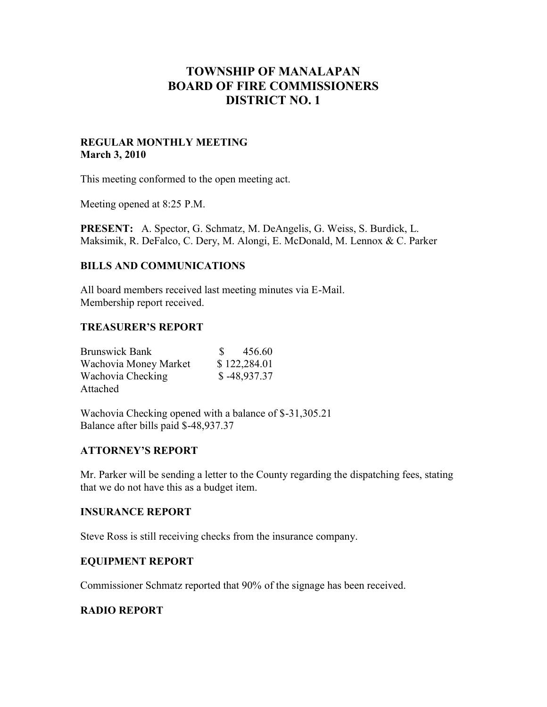# **TOWNSHIP OF MANALAPAN BOARD OF FIRE COMMISSIONERS DISTRICT NO. 1**

#### **REGULAR MONTHLY MEETING March 3, 2010**

This meeting conformed to the open meeting act.

Meeting opened at 8:25 P.M.

**PRESENT:** A. Spector, G. Schmatz, M. DeAngelis, G. Weiss, S. Burdick, L. Maksimik, R. DeFalco, C. Dery, M. Alongi, E. McDonald, M. Lennox & C. Parker

### **BILLS AND COMMUNICATIONS**

All board members received last meeting minutes via E-Mail. Membership report received.

#### **TREASURER'S REPORT**

| <b>Brunswick Bank</b> | 456.60<br>S.  |
|-----------------------|---------------|
| Wachovia Money Market | \$122,284.01  |
| Wachovia Checking     | $$-48,937.37$ |
| Attached              |               |

Wachovia Checking opened with a balance of \$-31,305.21 Balance after bills paid \$-48,937.37

#### **ATTORNEY'S REPORT**

Mr. Parker will be sending a letter to the County regarding the dispatching fees, stating that we do not have this as a budget item.

#### **INSURANCE REPORT**

Steve Ross is still receiving checks from the insurance company.

### **EQUIPMENT REPORT**

Commissioner Schmatz reported that 90% of the signage has been received.

#### **RADIO REPORT**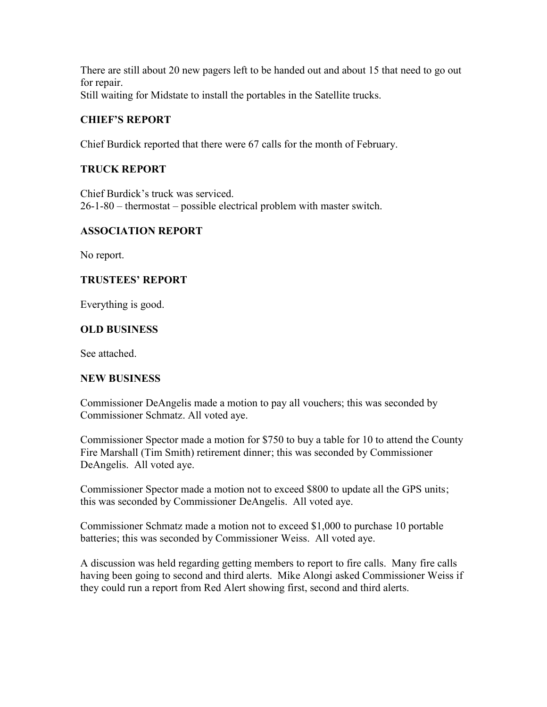There are still about 20 new pagers left to be handed out and about 15 that need to go out for repair. Still waiting for Midstate to install the portables in the Satellite trucks.

# **CHIEF'S REPORT**

Chief Burdick reported that there were 67 calls for the month of February.

# **TRUCK REPORT**

Chief Burdick's truck was serviced. 26-1-80 – thermostat – possible electrical problem with master switch.

# **ASSOCIATION REPORT**

No report.

# **TRUSTEES' REPORT**

Everything is good.

# **OLD BUSINESS**

See attached.

# **NEW BUSINESS**

Commissioner DeAngelis made a motion to pay all vouchers; this was seconded by Commissioner Schmatz. All voted aye.

Commissioner Spector made a motion for \$750 to buy a table for 10 to attend the County Fire Marshall (Tim Smith) retirement dinner; this was seconded by Commissioner DeAngelis. All voted aye.

Commissioner Spector made a motion not to exceed \$800 to update all the GPS units; this was seconded by Commissioner DeAngelis. All voted aye.

Commissioner Schmatz made a motion not to exceed \$1,000 to purchase 10 portable batteries; this was seconded by Commissioner Weiss. All voted aye.

A discussion was held regarding getting members to report to fire calls. Many fire calls having been going to second and third alerts. Mike Alongi asked Commissioner Weiss if they could run a report from Red Alert showing first, second and third alerts.